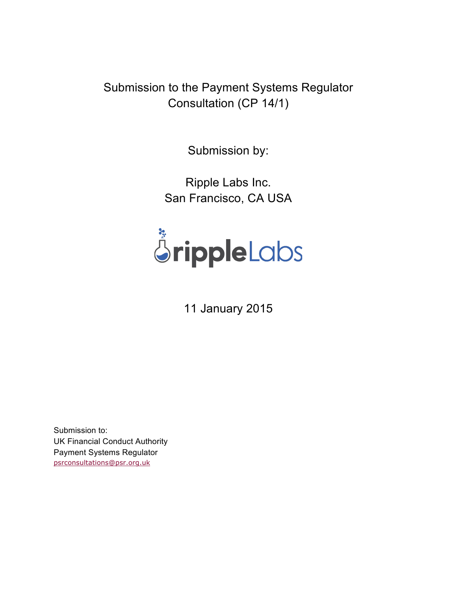Submission to the Payment Systems Regulator Consultation (CP 14/1)

Submission by:

Ripple Labs Inc. San Francisco, CA USA



11 January 2015

Submission to: UK Financial Conduct Authority Payment Systems Regulator psrconsultations@psr.org.uk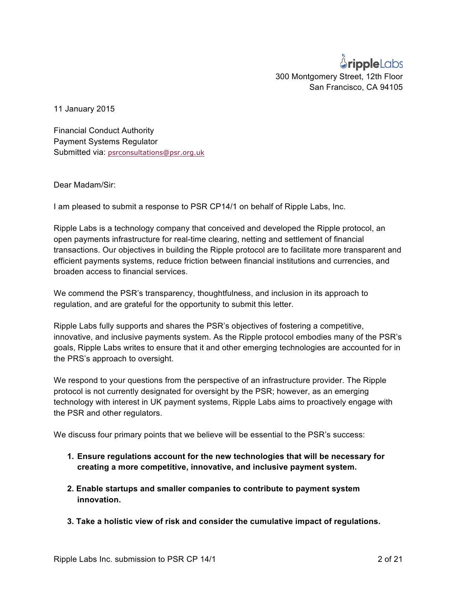## *<u>SrippleLabs</u>* 300 Montgomery Street, 12th Floor San Francisco, CA 94105

11 January 2015

Financial Conduct Authority Payment Systems Regulator Submitted via: psrconsultations@psr.org.uk

Dear Madam/Sir:

I am pleased to submit a response to PSR CP14/1 on behalf of Ripple Labs, Inc.

Ripple Labs is a technology company that conceived and developed the Ripple protocol, an open payments infrastructure for real-time clearing, netting and settlement of financial transactions. Our objectives in building the Ripple protocol are to facilitate more transparent and efficient payments systems, reduce friction between financial institutions and currencies, and broaden access to financial services.

We commend the PSR's transparency, thoughtfulness, and inclusion in its approach to regulation, and are grateful for the opportunity to submit this letter.

Ripple Labs fully supports and shares the PSR's objectives of fostering a competitive, innovative, and inclusive payments system. As the Ripple protocol embodies many of the PSR's goals, Ripple Labs writes to ensure that it and other emerging technologies are accounted for in the PRS's approach to oversight.

We respond to your questions from the perspective of an infrastructure provider. The Ripple protocol is not currently designated for oversight by the PSR; however, as an emerging technology with interest in UK payment systems, Ripple Labs aims to proactively engage with the PSR and other regulators.

We discuss four primary points that we believe will be essential to the PSR's success:

- **1. Ensure regulations account for the new technologies that will be necessary for creating a more competitive, innovative, and inclusive payment system.**
- **2. Enable startups and smaller companies to contribute to payment system innovation.**
- **3. Take a holistic view of risk and consider the cumulative impact of regulations.**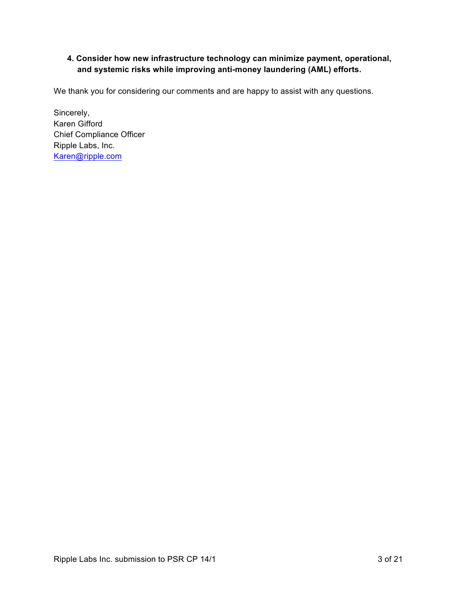## **4. Consider how new infrastructure technology can minimize payment, operational, and systemic risks while improving anti-money laundering (AML) efforts.**

We thank you for considering our comments and are happy to assist with any questions.

Sincerely, Karen Gifford Chief Compliance Officer Ripple Labs, Inc. Karen@ripple.com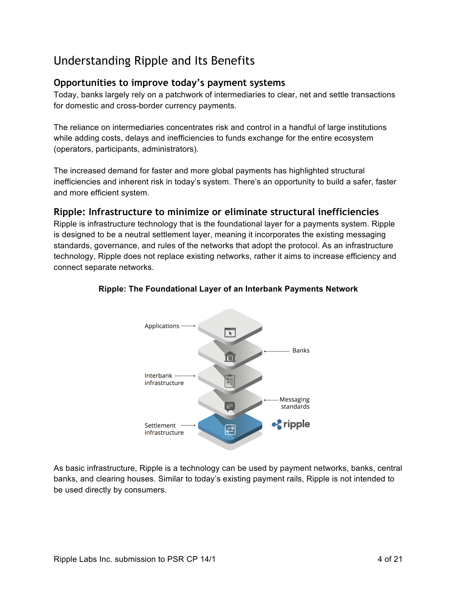# Understanding Ripple and Its Benefits

## **Opportunities to improve today's payment systems**

Today, banks largely rely on a patchwork of intermediaries to clear, net and settle transactions for domestic and cross-border currency payments.

The reliance on intermediaries concentrates risk and control in a handful of large institutions while adding costs, delays and inefficiencies to funds exchange for the entire ecosystem (operators, participants, administrators).

The increased demand for faster and more global payments has highlighted structural inefficiencies and inherent risk in today's system. There's an opportunity to build a safer, faster and more efficient system.

## **Ripple: Infrastructure to minimize or eliminate structural inefficiencies**

Ripple is infrastructure technology that is the foundational layer for a payments system. Ripple is designed to be a neutral settlement layer, meaning it incorporates the existing messaging standards, governance, and rules of the networks that adopt the protocol. As an infrastructure technology, Ripple does not replace existing networks, rather it aims to increase efficiency and connect separate networks.



## **Ripple: The Foundational Layer of an Interbank Payments Network**

As basic infrastructure, Ripple is a technology can be used by payment networks, banks, central banks, and clearing houses. Similar to today's existing payment rails, Ripple is not intended to be used directly by consumers.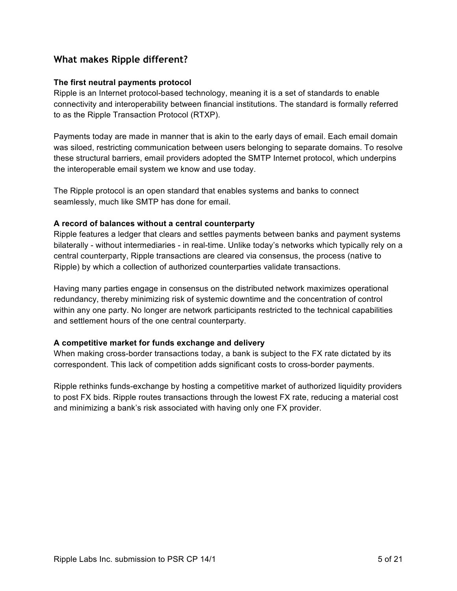## **What makes Ripple different?**

### **The first neutral payments protocol**

Ripple is an Internet protocol-based technology, meaning it is a set of standards to enable connectivity and interoperability between financial institutions. The standard is formally referred to as the Ripple Transaction Protocol (RTXP).

Payments today are made in manner that is akin to the early days of email. Each email domain was siloed, restricting communication between users belonging to separate domains. To resolve these structural barriers, email providers adopted the SMTP Internet protocol, which underpins the interoperable email system we know and use today.

The Ripple protocol is an open standard that enables systems and banks to connect seamlessly, much like SMTP has done for email.

### **A record of balances without a central counterparty**

Ripple features a ledger that clears and settles payments between banks and payment systems bilaterally - without intermediaries - in real-time. Unlike today's networks which typically rely on a central counterparty, Ripple transactions are cleared via consensus, the process (native to Ripple) by which a collection of authorized counterparties validate transactions.

Having many parties engage in consensus on the distributed network maximizes operational redundancy, thereby minimizing risk of systemic downtime and the concentration of control within any one party. No longer are network participants restricted to the technical capabilities and settlement hours of the one central counterparty.

### **A competitive market for funds exchange and delivery**

When making cross-border transactions today, a bank is subject to the FX rate dictated by its correspondent. This lack of competition adds significant costs to cross-border payments.

Ripple rethinks funds-exchange by hosting a competitive market of authorized liquidity providers to post FX bids. Ripple routes transactions through the lowest FX rate, reducing a material cost and minimizing a bank's risk associated with having only one FX provider.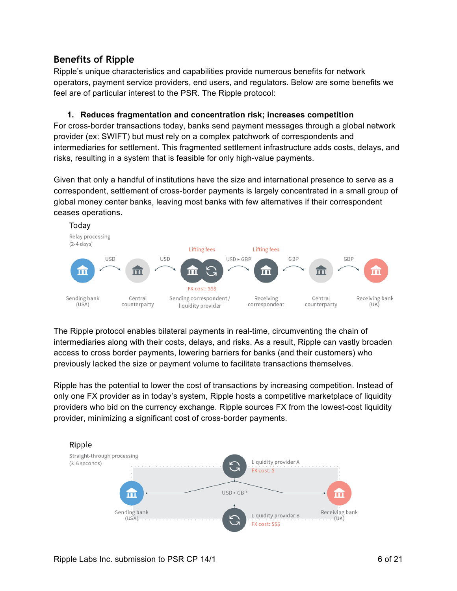## **Benefits of Ripple**

Ripple's unique characteristics and capabilities provide numerous benefits for network operators, payment service providers, end users, and regulators. Below are some benefits we feel are of particular interest to the PSR. The Ripple protocol:

### **1. Reduces fragmentation and concentration risk; increases competition**

For cross-border transactions today, banks send payment messages through a global network provider (ex: SWIFT) but must rely on a complex patchwork of correspondents and intermediaries for settlement. This fragmented settlement infrastructure adds costs, delays, and risks, resulting in a system that is feasible for only high-value payments.

Given that only a handful of institutions have the size and international presence to serve as a correspondent, settlement of cross-border payments is largely concentrated in a small group of global money center banks, leaving most banks with few alternatives if their correspondent ceases operations.



The Ripple protocol enables bilateral payments in real-time, circumventing the chain of intermediaries along with their costs, delays, and risks. As a result, Ripple can vastly broaden access to cross border payments, lowering barriers for banks (and their customers) who previously lacked the size or payment volume to facilitate transactions themselves.

Ripple has the potential to lower the cost of transactions by increasing competition. Instead of only one FX provider as in today's system, Ripple hosts a competitive marketplace of liquidity providers who bid on the currency exchange. Ripple sources FX from the lowest-cost liquidity provider, minimizing a significant cost of cross-border payments.

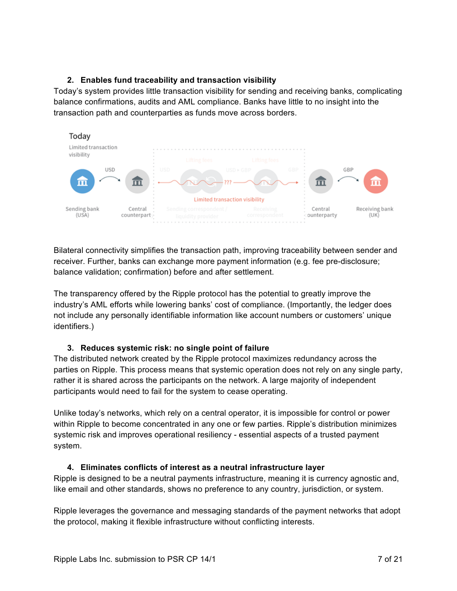## **2. Enables fund traceability and transaction visibility**

Today's system provides little transaction visibility for sending and receiving banks, complicating balance confirmations, audits and AML compliance. Banks have little to no insight into the transaction path and counterparties as funds move across borders.



Bilateral connectivity simplifies the transaction path, improving traceability between sender and receiver. Further, banks can exchange more payment information (e.g. fee pre-disclosure; balance validation; confirmation) before and after settlement.

The transparency offered by the Ripple protocol has the potential to greatly improve the industry's AML efforts while lowering banks' cost of compliance. (Importantly, the ledger does not include any personally identifiable information like account numbers or customers' unique identifiers.)

### **3. Reduces systemic risk: no single point of failure**

The distributed network created by the Ripple protocol maximizes redundancy across the parties on Ripple. This process means that systemic operation does not rely on any single party, rather it is shared across the participants on the network. A large majority of independent participants would need to fail for the system to cease operating.

Unlike today's networks, which rely on a central operator, it is impossible for control or power within Ripple to become concentrated in any one or few parties. Ripple's distribution minimizes systemic risk and improves operational resiliency - essential aspects of a trusted payment system.

## **4. Eliminates conflicts of interest as a neutral infrastructure layer**

Ripple is designed to be a neutral payments infrastructure, meaning it is currency agnostic and, like email and other standards, shows no preference to any country, jurisdiction, or system.

Ripple leverages the governance and messaging standards of the payment networks that adopt the protocol, making it flexible infrastructure without conflicting interests.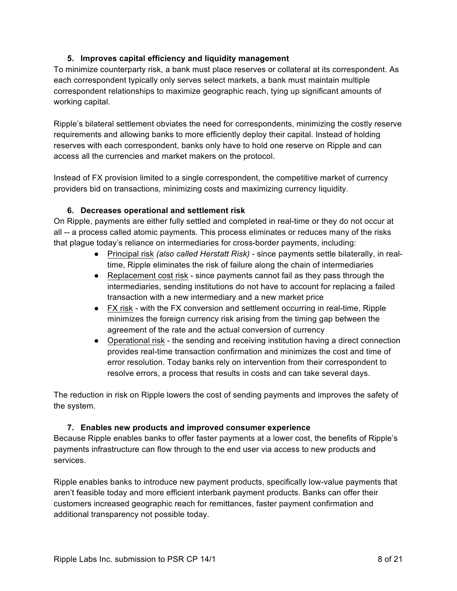## **5. Improves capital efficiency and liquidity management**

To minimize counterparty risk, a bank must place reserves or collateral at its correspondent. As each correspondent typically only serves select markets, a bank must maintain multiple correspondent relationships to maximize geographic reach, tying up significant amounts of working capital.

Ripple's bilateral settlement obviates the need for correspondents, minimizing the costly reserve requirements and allowing banks to more efficiently deploy their capital. Instead of holding reserves with each correspondent, banks only have to hold one reserve on Ripple and can access all the currencies and market makers on the protocol.

Instead of FX provision limited to a single correspondent, the competitive market of currency providers bid on transactions, minimizing costs and maximizing currency liquidity.

### **6. Decreases operational and settlement risk**

On Ripple, payments are either fully settled and completed in real-time or they do not occur at all -- a process called atomic payments. This process eliminates or reduces many of the risks that plague today's reliance on intermediaries for cross-border payments, including:

- Principal risk *(also called Herstatt Risk)*  since payments settle bilaterally, in realtime, Ripple eliminates the risk of failure along the chain of intermediaries
- Replacement cost risk since payments cannot fail as they pass through the intermediaries, sending institutions do not have to account for replacing a failed transaction with a new intermediary and a new market price
- FX risk with the FX conversion and settlement occurring in real-time, Ripple minimizes the foreign currency risk arising from the timing gap between the agreement of the rate and the actual conversion of currency
- Operational risk the sending and receiving institution having a direct connection provides real-time transaction confirmation and minimizes the cost and time of error resolution. Today banks rely on intervention from their correspondent to resolve errors, a process that results in costs and can take several days.

The reduction in risk on Ripple lowers the cost of sending payments and improves the safety of the system.

### **7. Enables new products and improved consumer experience**

Because Ripple enables banks to offer faster payments at a lower cost, the benefits of Ripple's payments infrastructure can flow through to the end user via access to new products and services.

Ripple enables banks to introduce new payment products, specifically low-value payments that aren't feasible today and more efficient interbank payment products. Banks can offer their customers increased geographic reach for remittances, faster payment confirmation and additional transparency not possible today.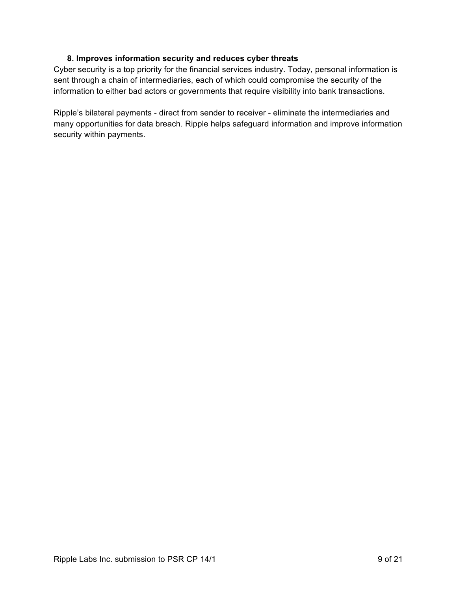### **8. Improves information security and reduces cyber threats**

Cyber security is a top priority for the financial services industry. Today, personal information is sent through a chain of intermediaries, each of which could compromise the security of the information to either bad actors or governments that require visibility into bank transactions.

Ripple's bilateral payments - direct from sender to receiver - eliminate the intermediaries and many opportunities for data breach. Ripple helps safeguard information and improve information security within payments.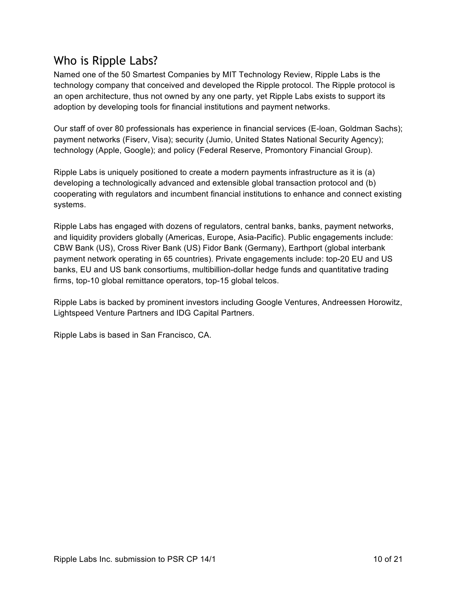# Who is Ripple Labs?

Named one of the 50 Smartest Companies by MIT Technology Review, Ripple Labs is the technology company that conceived and developed the Ripple protocol. The Ripple protocol is an open architecture, thus not owned by any one party, yet Ripple Labs exists to support its adoption by developing tools for financial institutions and payment networks.

Our staff of over 80 professionals has experience in financial services (E-loan, Goldman Sachs); payment networks (Fiserv, Visa); security (Jumio, United States National Security Agency); technology (Apple, Google); and policy (Federal Reserve, Promontory Financial Group).

Ripple Labs is uniquely positioned to create a modern payments infrastructure as it is (a) developing a technologically advanced and extensible global transaction protocol and (b) cooperating with regulators and incumbent financial institutions to enhance and connect existing systems.

Ripple Labs has engaged with dozens of regulators, central banks, banks, payment networks, and liquidity providers globally (Americas, Europe, Asia-Pacific). Public engagements include: CBW Bank (US), Cross River Bank (US) Fidor Bank (Germany), Earthport (global interbank payment network operating in 65 countries). Private engagements include: top-20 EU and US banks, EU and US bank consortiums, multibillion-dollar hedge funds and quantitative trading firms, top-10 global remittance operators, top-15 global telcos.

Ripple Labs is backed by prominent investors including Google Ventures, Andreessen Horowitz, Lightspeed Venture Partners and IDG Capital Partners.

Ripple Labs is based in San Francisco, CA.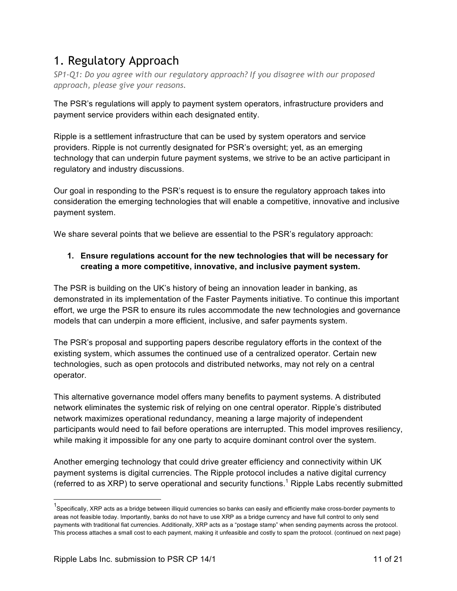# 1. Regulatory Approach

*SP1-Q1: Do you agree with our regulatory approach? If you disagree with our proposed approach, please give your reasons.*

The PSR's regulations will apply to payment system operators, infrastructure providers and payment service providers within each designated entity.

Ripple is a settlement infrastructure that can be used by system operators and service providers. Ripple is not currently designated for PSR's oversight; yet, as an emerging technology that can underpin future payment systems, we strive to be an active participant in regulatory and industry discussions.

Our goal in responding to the PSR's request is to ensure the regulatory approach takes into consideration the emerging technologies that will enable a competitive, innovative and inclusive payment system.

We share several points that we believe are essential to the PSR's regulatory approach:

## **1. Ensure regulations account for the new technologies that will be necessary for creating a more competitive, innovative, and inclusive payment system.**

The PSR is building on the UK's history of being an innovation leader in banking, as demonstrated in its implementation of the Faster Payments initiative. To continue this important effort, we urge the PSR to ensure its rules accommodate the new technologies and governance models that can underpin a more efficient, inclusive, and safer payments system.

The PSR's proposal and supporting papers describe regulatory efforts in the context of the existing system, which assumes the continued use of a centralized operator. Certain new technologies, such as open protocols and distributed networks, may not rely on a central operator.

This alternative governance model offers many benefits to payment systems. A distributed network eliminates the systemic risk of relying on one central operator. Ripple's distributed network maximizes operational redundancy, meaning a large majority of independent participants would need to fail before operations are interrupted. This model improves resiliency, while making it impossible for any one party to acquire dominant control over the system.

Another emerging technology that could drive greater efficiency and connectivity within UK payment systems is digital currencies. The Ripple protocol includes a native digital currency (referred to as XRP) to serve operational and security functions.<sup>1</sup> Ripple Labs recently submitted

 <sup>1</sup> Specifically, XRP acts as a bridge between illiquid currencies so banks can easily and efficiently make cross-border payments to areas not feasible today. Importantly, banks do not have to use XRP as a bridge currency and have full control to only send payments with traditional fiat currencies. Additionally, XRP acts as a "postage stamp" when sending payments across the protocol. This process attaches a small cost to each payment, making it unfeasible and costly to spam the protocol. (continued on next page)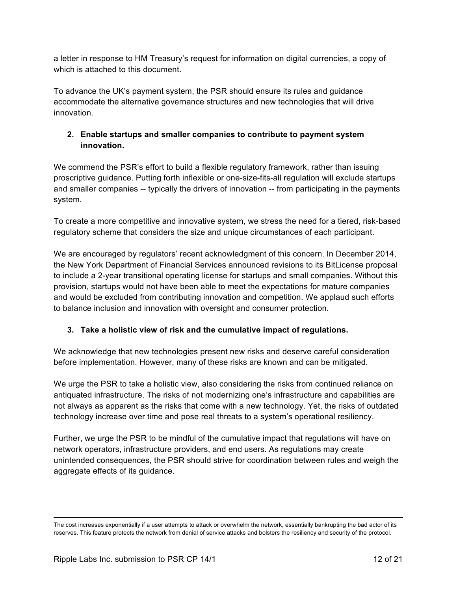a letter in response to HM Treasury's request for information on digital currencies, a copy of which is attached to this document.

To advance the UK's payment system, the PSR should ensure its rules and guidance accommodate the alternative governance structures and new technologies that will drive innovation.

## **2. Enable startups and smaller companies to contribute to payment system innovation.**

We commend the PSR's effort to build a flexible regulatory framework, rather than issuing proscriptive guidance. Putting forth inflexible or one-size-fits-all regulation will exclude startups and smaller companies -- typically the drivers of innovation -- from participating in the payments system.

To create a more competitive and innovative system, we stress the need for a tiered, risk-based regulatory scheme that considers the size and unique circumstances of each participant.

We are encouraged by regulators' recent acknowledgment of this concern. In December 2014, the New York Department of Financial Services announced revisions to its BitLicense proposal to include a 2-year transitional operating license for startups and small companies. Without this provision, startups would not have been able to meet the expectations for mature companies and would be excluded from contributing innovation and competition. We applaud such efforts to balance inclusion and innovation with oversight and consumer protection.

## **3. Take a holistic view of risk and the cumulative impact of regulations.**

We acknowledge that new technologies present new risks and deserve careful consideration before implementation. However, many of these risks are known and can be mitigated.

We urge the PSR to take a holistic view, also considering the risks from continued reliance on antiquated infrastructure. The risks of not modernizing one's infrastructure and capabilities are not always as apparent as the risks that come with a new technology. Yet, the risks of outdated technology increase over time and pose real threats to a system's operational resiliency.

Further, we urge the PSR to be mindful of the cumulative impact that regulations will have on network operators, infrastructure providers, and end users. As regulations may create unintended consequences, the PSR should strive for coordination between rules and weigh the aggregate effects of its guidance.

The cost increases exponentially if a user attempts to attack or overwhelm the network, essentially bankrupting the bad actor of its reserves. This feature protects the network from denial of service attacks and bolsters the resiliency and security of the protocol.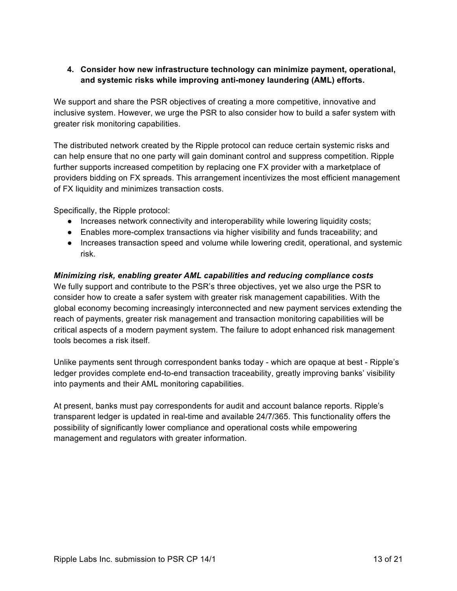### **4. Consider how new infrastructure technology can minimize payment, operational, and systemic risks while improving anti-money laundering (AML) efforts.**

We support and share the PSR objectives of creating a more competitive, innovative and inclusive system. However, we urge the PSR to also consider how to build a safer system with greater risk monitoring capabilities.

The distributed network created by the Ripple protocol can reduce certain systemic risks and can help ensure that no one party will gain dominant control and suppress competition. Ripple further supports increased competition by replacing one FX provider with a marketplace of providers bidding on FX spreads. This arrangement incentivizes the most efficient management of FX liquidity and minimizes transaction costs.

Specifically, the Ripple protocol:

- Increases network connectivity and interoperability while lowering liquidity costs;
- Enables more-complex transactions via higher visibility and funds traceability; and
- Increases transaction speed and volume while lowering credit, operational, and systemic risk.

### *Minimizing risk, enabling greater AML capabilities and reducing compliance costs*

We fully support and contribute to the PSR's three objectives, yet we also urge the PSR to consider how to create a safer system with greater risk management capabilities. With the global economy becoming increasingly interconnected and new payment services extending the reach of payments, greater risk management and transaction monitoring capabilities will be critical aspects of a modern payment system. The failure to adopt enhanced risk management tools becomes a risk itself.

Unlike payments sent through correspondent banks today - which are opaque at best - Ripple's ledger provides complete end-to-end transaction traceability, greatly improving banks' visibility into payments and their AML monitoring capabilities.

At present, banks must pay correspondents for audit and account balance reports. Ripple's transparent ledger is updated in real-time and available 24/7/365. This functionality offers the possibility of significantly lower compliance and operational costs while empowering management and regulators with greater information.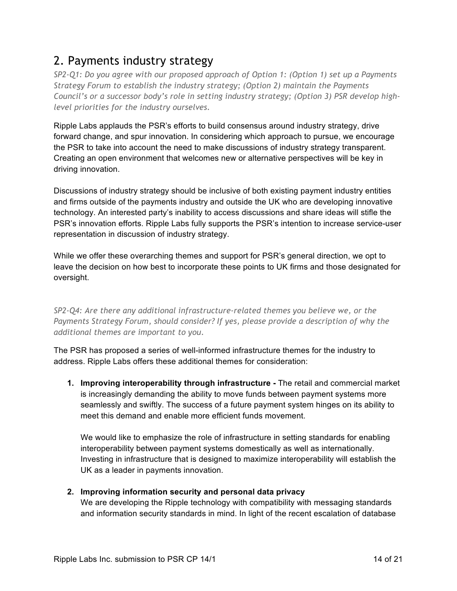# 2. Payments industry strategy

*SP2-Q1: Do you agree with our proposed approach of Option 1: (Option 1) set up a Payments Strategy Forum to establish the industry strategy; (Option 2) maintain the Payments Council's or a successor body's role in setting industry strategy; (Option 3) PSR develop highlevel priorities for the industry ourselves.*

Ripple Labs applauds the PSR's efforts to build consensus around industry strategy, drive forward change, and spur innovation. In considering which approach to pursue, we encourage the PSR to take into account the need to make discussions of industry strategy transparent. Creating an open environment that welcomes new or alternative perspectives will be key in driving innovation.

Discussions of industry strategy should be inclusive of both existing payment industry entities and firms outside of the payments industry and outside the UK who are developing innovative technology. An interested party's inability to access discussions and share ideas will stifle the PSR's innovation efforts. Ripple Labs fully supports the PSR's intention to increase service-user representation in discussion of industry strategy.

While we offer these overarching themes and support for PSR's general direction, we opt to leave the decision on how best to incorporate these points to UK firms and those designated for oversight.

*SP2-Q4: Are there any additional infrastructure-related themes you believe we, or the Payments Strategy Forum, should consider? If yes, please provide a description of why the additional themes are important to you.*

The PSR has proposed a series of well-informed infrastructure themes for the industry to address. Ripple Labs offers these additional themes for consideration:

**1. Improving interoperability through infrastructure -** The retail and commercial market is increasingly demanding the ability to move funds between payment systems more seamlessly and swiftly. The success of a future payment system hinges on its ability to meet this demand and enable more efficient funds movement.

We would like to emphasize the role of infrastructure in setting standards for enabling interoperability between payment systems domestically as well as internationally. Investing in infrastructure that is designed to maximize interoperability will establish the UK as a leader in payments innovation.

## **2. Improving information security and personal data privacy**

We are developing the Ripple technology with compatibility with messaging standards and information security standards in mind. In light of the recent escalation of database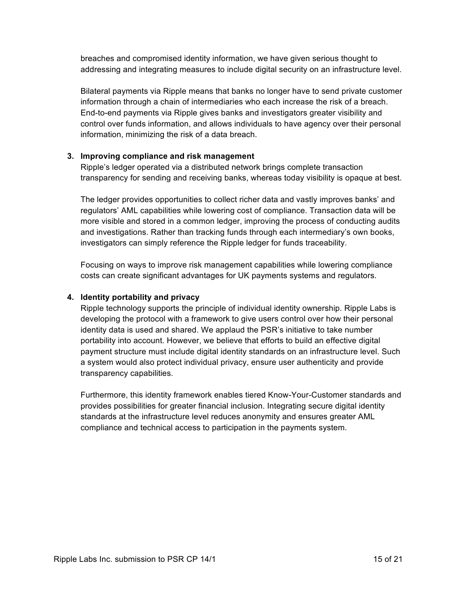breaches and compromised identity information, we have given serious thought to addressing and integrating measures to include digital security on an infrastructure level.

Bilateral payments via Ripple means that banks no longer have to send private customer information through a chain of intermediaries who each increase the risk of a breach. End-to-end payments via Ripple gives banks and investigators greater visibility and control over funds information, and allows individuals to have agency over their personal information, minimizing the risk of a data breach.

### **3. Improving compliance and risk management**

Ripple's ledger operated via a distributed network brings complete transaction transparency for sending and receiving banks, whereas today visibility is opaque at best.

The ledger provides opportunities to collect richer data and vastly improves banks' and regulators' AML capabilities while lowering cost of compliance. Transaction data will be more visible and stored in a common ledger, improving the process of conducting audits and investigations. Rather than tracking funds through each intermediary's own books, investigators can simply reference the Ripple ledger for funds traceability.

Focusing on ways to improve risk management capabilities while lowering compliance costs can create significant advantages for UK payments systems and regulators.

### **4. Identity portability and privacy**

Ripple technology supports the principle of individual identity ownership. Ripple Labs is developing the protocol with a framework to give users control over how their personal identity data is used and shared. We applaud the PSR's initiative to take number portability into account. However, we believe that efforts to build an effective digital payment structure must include digital identity standards on an infrastructure level. Such a system would also protect individual privacy, ensure user authenticity and provide transparency capabilities.

Furthermore, this identity framework enables tiered Know-Your-Customer standards and provides possibilities for greater financial inclusion. Integrating secure digital identity standards at the infrastructure level reduces anonymity and ensures greater AML compliance and technical access to participation in the payments system.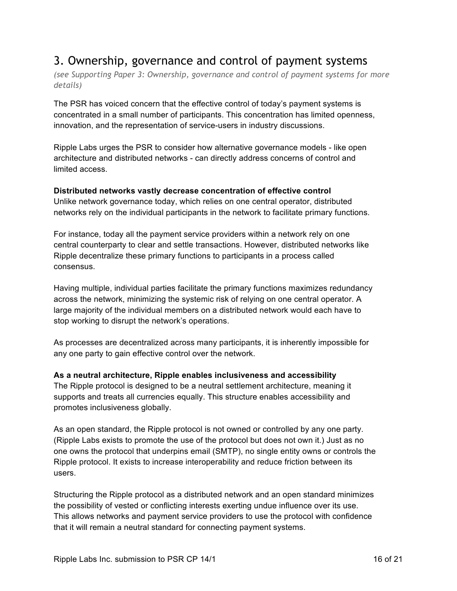# 3. Ownership, governance and control of payment systems

*(see Supporting Paper 3: Ownership, governance and control of payment systems for more details)*

The PSR has voiced concern that the effective control of today's payment systems is concentrated in a small number of participants. This concentration has limited openness, innovation, and the representation of service-users in industry discussions.

Ripple Labs urges the PSR to consider how alternative governance models - like open architecture and distributed networks - can directly address concerns of control and limited access.

### **Distributed networks vastly decrease concentration of effective control**

Unlike network governance today, which relies on one central operator, distributed networks rely on the individual participants in the network to facilitate primary functions.

For instance, today all the payment service providers within a network rely on one central counterparty to clear and settle transactions. However, distributed networks like Ripple decentralize these primary functions to participants in a process called consensus.

Having multiple, individual parties facilitate the primary functions maximizes redundancy across the network, minimizing the systemic risk of relying on one central operator. A large majority of the individual members on a distributed network would each have to stop working to disrupt the network's operations.

As processes are decentralized across many participants, it is inherently impossible for any one party to gain effective control over the network.

### **As a neutral architecture, Ripple enables inclusiveness and accessibility**

The Ripple protocol is designed to be a neutral settlement architecture, meaning it supports and treats all currencies equally. This structure enables accessibility and promotes inclusiveness globally.

As an open standard, the Ripple protocol is not owned or controlled by any one party. (Ripple Labs exists to promote the use of the protocol but does not own it.) Just as no one owns the protocol that underpins email (SMTP), no single entity owns or controls the Ripple protocol. It exists to increase interoperability and reduce friction between its users.

Structuring the Ripple protocol as a distributed network and an open standard minimizes the possibility of vested or conflicting interests exerting undue influence over its use. This allows networks and payment service providers to use the protocol with confidence that it will remain a neutral standard for connecting payment systems.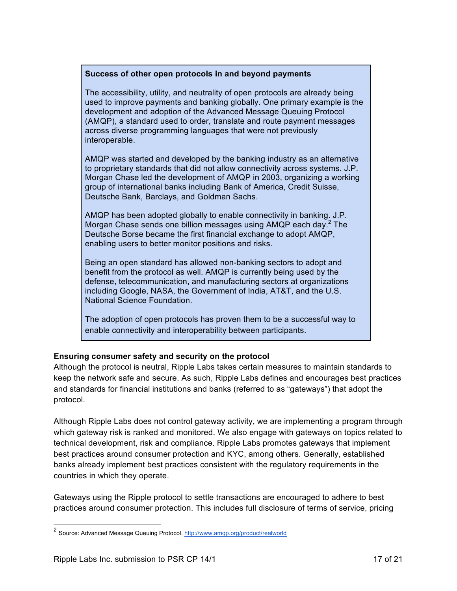#### **Success of other open protocols in and beyond payments**

The accessibility, utility, and neutrality of open protocols are already being used to improve payments and banking globally. One primary example is the development and adoption of the Advanced Message Queuing Protocol (AMQP), a standard used to order, translate and route payment messages across diverse programming languages that were not previously interoperable.

AMQP was started and developed by the banking industry as an alternative to proprietary standards that did not allow connectivity across systems. J.P. Morgan Chase led the development of AMQP in 2003, organizing a working group of international banks including Bank of America, Credit Suisse, Deutsche Bank, Barclays, and Goldman Sachs.

AMQP has been adopted globally to enable connectivity in banking. J.P. Morgan Chase sends one billion messages using  $AMQP$  each day.<sup>2</sup> The Deutsche Borse became the first financial exchange to adopt AMQP, enabling users to better monitor positions and risks.

Being an open standard has allowed non-banking sectors to adopt and benefit from the protocol as well. AMQP is currently being used by the defense, telecommunication, and manufacturing sectors at organizations including Google, NASA, the Government of India, AT&T, and the U.S. National Science Foundation.

The adoption of open protocols has proven them to be a successful way to enable connectivity and interoperability between participants.

### **Ensuring consumer safety and security on the protocol**

Although the protocol is neutral, Ripple Labs takes certain measures to maintain standards to keep the network safe and secure. As such, Ripple Labs defines and encourages best practices and standards for financial institutions and banks (referred to as "gateways") that adopt the protocol.

Although Ripple Labs does not control gateway activity, we are implementing a program through which gateway risk is ranked and monitored. We also engage with gateways on topics related to technical development, risk and compliance. Ripple Labs promotes gateways that implement best practices around consumer protection and KYC, among others. Generally, established banks already implement best practices consistent with the regulatory requirements in the countries in which they operate.

Gateways using the Ripple protocol to settle transactions are encouraged to adhere to best practices around consumer protection. This includes full disclosure of terms of service, pricing

<sup>&</sup>lt;sup>2</sup> Source: Advanced Message Queuing Protocol. http://www.amqp.org/product/realworld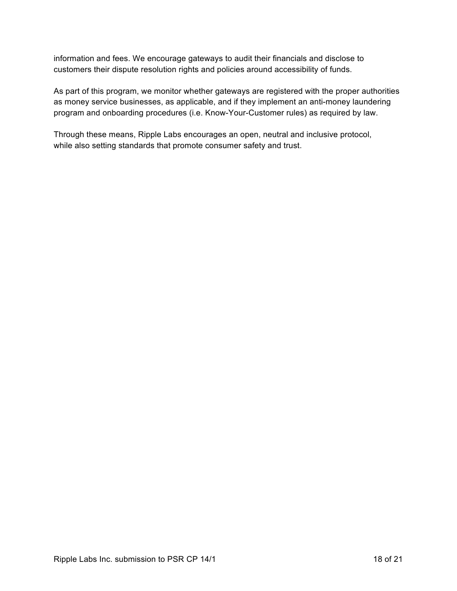information and fees. We encourage gateways to audit their financials and disclose to customers their dispute resolution rights and policies around accessibility of funds.

As part of this program, we monitor whether gateways are registered with the proper authorities as money service businesses, as applicable, and if they implement an anti-money laundering program and onboarding procedures (i.e. Know-Your-Customer rules) as required by law.

Through these means, Ripple Labs encourages an open, neutral and inclusive protocol, while also setting standards that promote consumer safety and trust.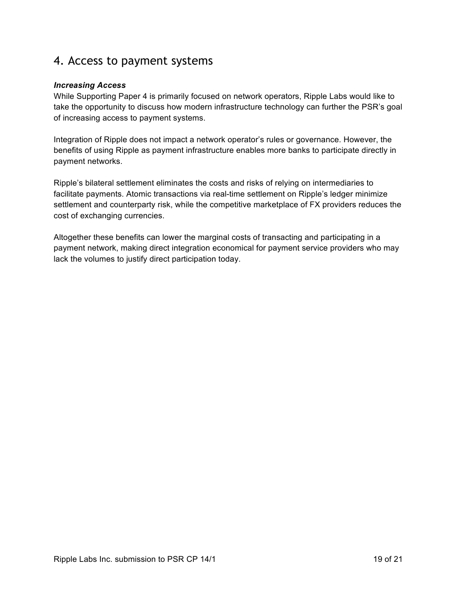## 4. Access to payment systems

### *Increasing Access*

While Supporting Paper 4 is primarily focused on network operators, Ripple Labs would like to take the opportunity to discuss how modern infrastructure technology can further the PSR's goal of increasing access to payment systems.

Integration of Ripple does not impact a network operator's rules or governance. However, the benefits of using Ripple as payment infrastructure enables more banks to participate directly in payment networks.

Ripple's bilateral settlement eliminates the costs and risks of relying on intermediaries to facilitate payments. Atomic transactions via real-time settlement on Ripple's ledger minimize settlement and counterparty risk, while the competitive marketplace of FX providers reduces the cost of exchanging currencies.

Altogether these benefits can lower the marginal costs of transacting and participating in a payment network, making direct integration economical for payment service providers who may lack the volumes to justify direct participation today.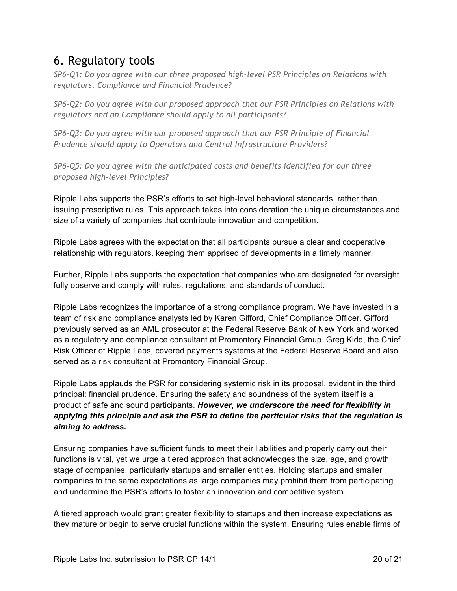# 6. Regulatory tools

*SP6-Q1: Do you agree with our three proposed high-level PSR Principles on Relations with regulators, Compliance and Financial Prudence?*

*SP6-Q2: Do you agree with our proposed approach that our PSR Principles on Relations with regulators and on Compliance should apply to all participants?* 

*SP6-Q3: Do you agree with our proposed approach that our PSR Principle of Financial Prudence should apply to Operators and Central Infrastructure Providers?* 

*SP6-Q5: Do you agree with the anticipated costs and benefits identified for our three proposed high-level Principles?*

Ripple Labs supports the PSR's efforts to set high-level behavioral standards, rather than issuing prescriptive rules. This approach takes into consideration the unique circumstances and size of a variety of companies that contribute innovation and competition.

Ripple Labs agrees with the expectation that all participants pursue a clear and cooperative relationship with regulators, keeping them apprised of developments in a timely manner.

Further, Ripple Labs supports the expectation that companies who are designated for oversight fully observe and comply with rules, regulations, and standards of conduct.

Ripple Labs recognizes the importance of a strong compliance program. We have invested in a team of risk and compliance analysts led by Karen Gifford, Chief Compliance Officer. Gifford previously served as an AML prosecutor at the Federal Reserve Bank of New York and worked as a regulatory and compliance consultant at Promontory Financial Group. Greg Kidd, the Chief Risk Officer of Ripple Labs, covered payments systems at the Federal Reserve Board and also served as a risk consultant at Promontory Financial Group.

Ripple Labs applauds the PSR for considering systemic risk in its proposal, evident in the third principal: financial prudence. Ensuring the safety and soundness of the system itself is a product of safe and sound participants. *However, we underscore the need for flexibility in applying this principle and ask the PSR to define the particular risks that the regulation is aiming to address.*

Ensuring companies have sufficient funds to meet their liabilities and properly carry out their functions is vital, yet we urge a tiered approach that acknowledges the size, age, and growth stage of companies, particularly startups and smaller entities. Holding startups and smaller companies to the same expectations as large companies may prohibit them from participating and undermine the PSR's efforts to foster an innovation and competitive system.

A tiered approach would grant greater flexibility to startups and then increase expectations as they mature or begin to serve crucial functions within the system. Ensuring rules enable firms of